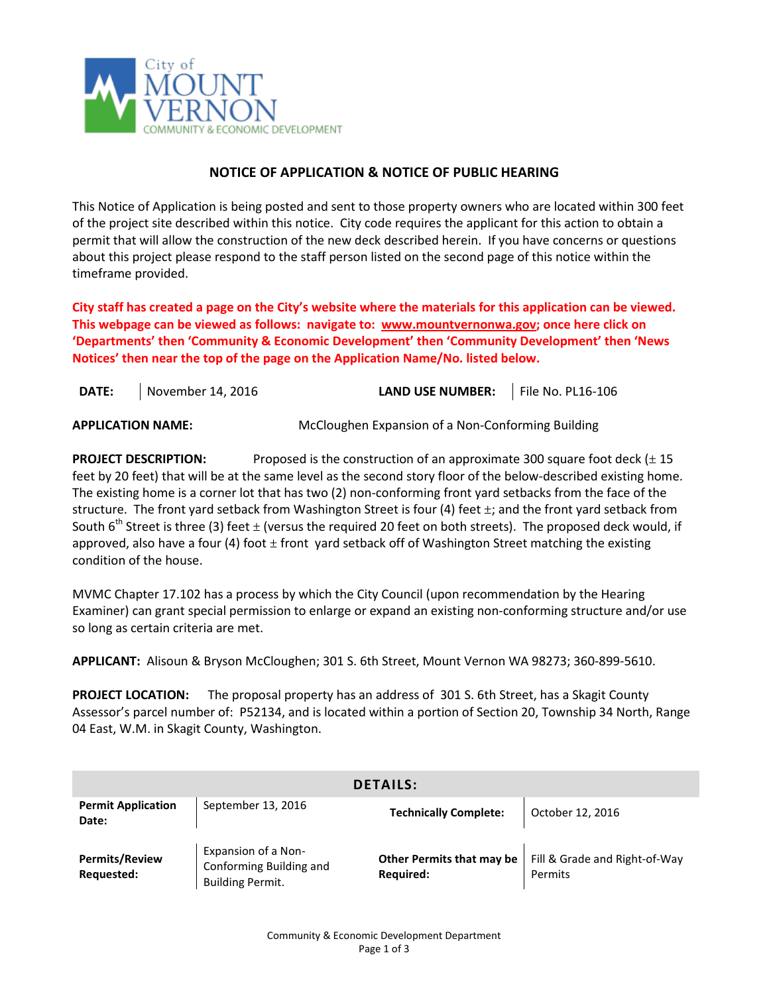

## **NOTICE OF APPLICATION & NOTICE OF PUBLIC HEARING**

This Notice of Application is being posted and sent to those property owners who are located within 300 feet of the project site described within this notice. City code requires the applicant for this action to obtain a permit that will allow the construction of the new deck described herein. If you have concerns or questions about this project please respond to the staff person listed on the second page of this notice within the timeframe provided.

**City staff has created a page on the City's website where the materials for this application can be viewed. This webpage can be viewed as follows: navigate to: [www.mountvernonwa.gov;](http://www.mountvernonwa.gov/) once here click on 'Departments' then 'Community & Economic Development' then 'Community Development' then 'News Notices' then near the top of the page on the Application Name/No. listed below.** 

| <b>DATE:</b> | November 14, 2016 | LAND USE NUMBER:   File No. PL16-106 |  |
|--------------|-------------------|--------------------------------------|--|
|              |                   |                                      |  |

**APPLICATION NAME:** McCloughen Expansion of a Non-Conforming Building

**PROJECT DESCRIPTION:** Proposed is the construction of an approximate 300 square foot deck ( $\pm$  15 feet by 20 feet) that will be at the same level as the second story floor of the below-described existing home. The existing home is a corner lot that has two (2) non-conforming front yard setbacks from the face of the structure. The front yard setback from Washington Street is four (4) feet  $\pm$ ; and the front yard setback from South 6<sup>th</sup> Street is three (3) feet  $\pm$  (versus the required 20 feet on both streets). The proposed deck would, if approved, also have a four (4) foot  $\pm$  front yard setback off of Washington Street matching the existing condition of the house.

MVMC Chapter 17.102 has a process by which the City Council (upon recommendation by the Hearing Examiner) can grant special permission to enlarge or expand an existing non-conforming structure and/or use so long as certain criteria are met.

**APPLICANT:** Alisoun & Bryson McCloughen; 301 S. 6th Street, Mount Vernon WA 98273; 360-899-5610.

**PROJECT LOCATION:** The proposal property has an address of 301 S. 6th Street, has a Skagit County Assessor's parcel number of: P52134, and is located within a portion of Section 20, Township 34 North, Range 04 East, W.M. in Skagit County, Washington.

| <b>DETAILS:</b>                     |                                                                           |                                               |                                          |  |  |  |
|-------------------------------------|---------------------------------------------------------------------------|-----------------------------------------------|------------------------------------------|--|--|--|
| <b>Permit Application</b><br>Date:  | September 13, 2016                                                        | <b>Technically Complete:</b>                  | October 12, 2016                         |  |  |  |
| <b>Permits/Review</b><br>Requested: | Expansion of a Non-<br>Conforming Building and<br><b>Building Permit.</b> | Other Permits that may be<br><b>Required:</b> | Fill & Grade and Right-of-Way<br>Permits |  |  |  |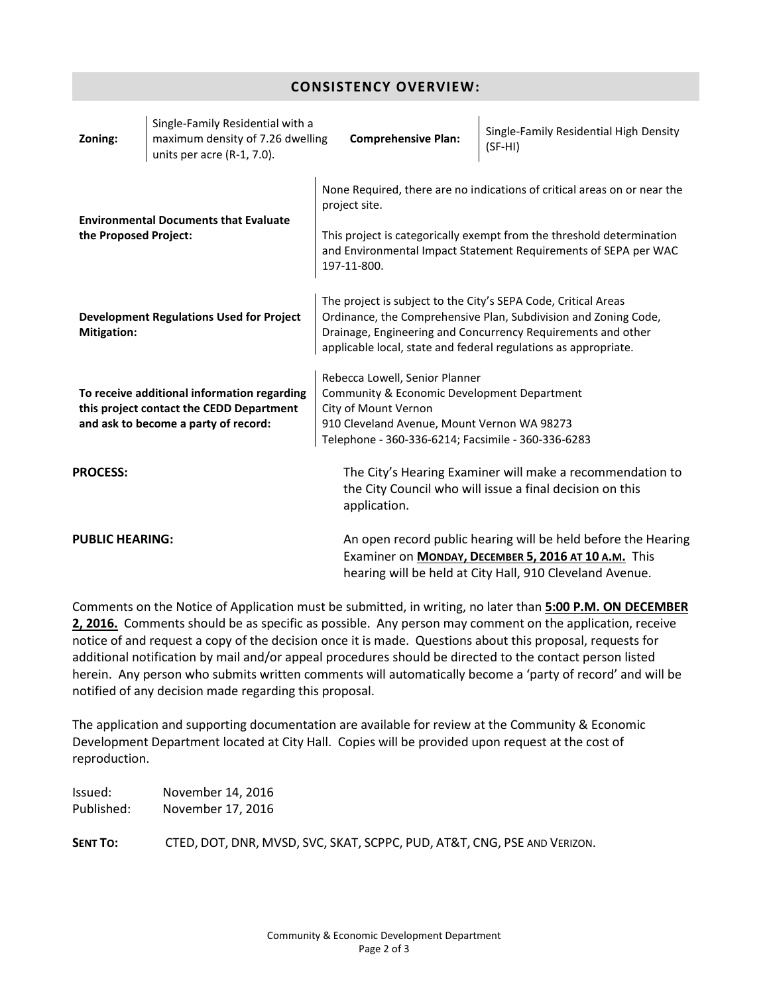| Single-Family Residential with a<br>maximum density of 7.26 dwelling<br>Zoning:<br>units per acre (R-1, 7.0).                   | <b>Comprehensive Plan:</b>                                                                                                                                                                                                                                           | Single-Family Residential High Density<br>$(SF-HI)$                                                                                                                               |  |  |  |
|---------------------------------------------------------------------------------------------------------------------------------|----------------------------------------------------------------------------------------------------------------------------------------------------------------------------------------------------------------------------------------------------------------------|-----------------------------------------------------------------------------------------------------------------------------------------------------------------------------------|--|--|--|
| <b>Environmental Documents that Evaluate</b><br>the Proposed Project:                                                           | None Required, there are no indications of critical areas on or near the<br>project site.<br>This project is categorically exempt from the threshold determination<br>and Environmental Impact Statement Requirements of SEPA per WAC<br>197-11-800.                 |                                                                                                                                                                                   |  |  |  |
| <b>Development Regulations Used for Project</b><br>Mitigation:                                                                  | The project is subject to the City's SEPA Code, Critical Areas<br>Ordinance, the Comprehensive Plan, Subdivision and Zoning Code,<br>Drainage, Engineering and Concurrency Requirements and other<br>applicable local, state and federal regulations as appropriate. |                                                                                                                                                                                   |  |  |  |
| To receive additional information regarding<br>this project contact the CEDD Department<br>and ask to become a party of record: | Rebecca Lowell, Senior Planner<br>Community & Economic Development Department<br>City of Mount Vernon<br>910 Cleveland Avenue, Mount Vernon WA 98273<br>Telephone - 360-336-6214; Facsimile - 360-336-6283                                                           |                                                                                                                                                                                   |  |  |  |
| <b>PROCESS:</b>                                                                                                                 | application.                                                                                                                                                                                                                                                         | The City's Hearing Examiner will make a recommendation to<br>the City Council who will issue a final decision on this                                                             |  |  |  |
| <b>PUBLIC HEARING:</b>                                                                                                          |                                                                                                                                                                                                                                                                      | An open record public hearing will be held before the Hearing<br>Examiner on MONDAY, DECEMBER 5, 2016 AT 10 A.M. This<br>hearing will be held at City Hall, 910 Cleveland Avenue. |  |  |  |

**CONSISTENCY OVERVIEW:**

Comments on the Notice of Application must be submitted, in writing, no later than **5:00 P.M. ON DECEMBER 2, 2016.** Comments should be as specific as possible. Any person may comment on the application, receive notice of and request a copy of the decision once it is made. Questions about this proposal, requests for additional notification by mail and/or appeal procedures should be directed to the contact person listed herein. Any person who submits written comments will automatically become a 'party of record' and will be notified of any decision made regarding this proposal.

The application and supporting documentation are available for review at the Community & Economic Development Department located at City Hall. Copies will be provided upon request at the cost of reproduction.

Issued: November 14, 2016 Published: November 17, 2016

**SENT TO:** CTED, DOT, DNR, MVSD, SVC, SKAT, SCPPC, PUD, AT&T, CNG, PSE AND VERIZON.